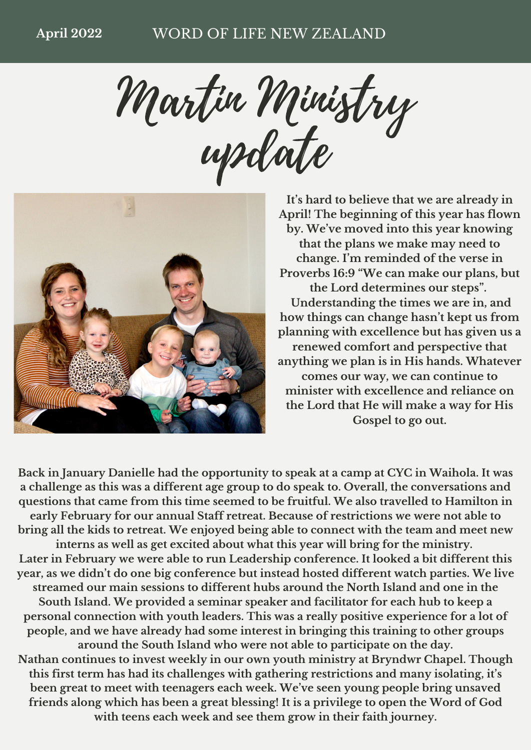Martin Ministry update



**It's hard to believe that we are already in April! The beginning of this year has flown by. We've moved into this year knowing that the plans we make may need to change. I'm reminded of the verse in Proverbs 16:9 "We can make our plans, but the Lord determines our steps". Understanding the times we are in, and how things can change hasn't kept us from planning with excellence but has given us a renewed comfort and perspective that anything we plan is in His hands. Whatever comes our way, we can continue to minister with excellence and reliance on the Lord that He will make a way for His Gospel to go out.**

**Back in January Danielle had the opportunity to speak at a camp at CYC in Waihola. It was a challenge as this was a different age group to do speak to. Overall, the conversations and questions that came from this time seemed to be fruitful. We also travelled to Hamilton in early February for our annual Staff retreat. Because of restrictions we were not able to bring all the kids to retreat. We enjoyed being able to connect with the team and meet new interns as well as get excited about what this year will bring for the ministry. Later in February we were able to run Leadership conference. It looked a bit different this year, as we didn't do one big conference but instead hosted different watch parties. We live streamed our main sessions to different hubs around the North Island and one in the South Island. We provided a seminar speaker and facilitator for each hub to keep a personal connection with youth leaders. This was a really positive experience for a lot of people, and we have already had some interest in bringing this training to other groups around the South Island who were not able to participate on the day. Nathan continues to invest weekly in our own youth ministry at Bryndwr Chapel. Though this first term has had its challenges with gathering restrictions and many isolating, it's been great to meet with teenagers each week. We've seen young people bring unsaved friends along which has been a great blessing! It is a privilege to open the Word of God with teens each week and see them grow in their faith journey.**